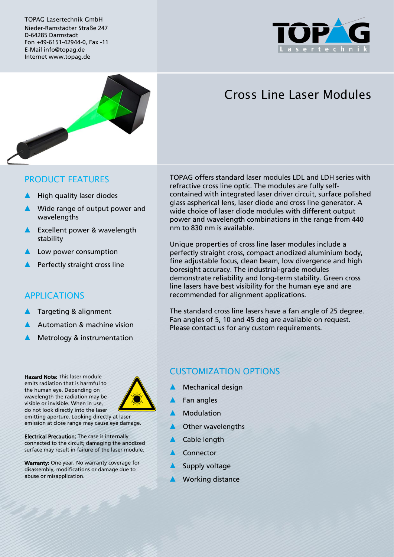TOPAG Lasertechnik GmbH Nieder-Ramstädter Straße 247 D-64285 Darmstadt Fon +49-6151-42944-0, Fax -11 E-Mail info@topag.de Internet www.topag.de





# Cross Line Laser Modules

#### PRODUCT FEATURES

- High quality laser diodes
- Wide range of output power and wavelengths
- ▲ Excellent power & wavelength stability
- Low power consumption
- Perfectly straight cross line

### APPLICATIONS

- Targeting & alignment
- Automation & machine vision
- Metrology & instrumentation

Hazard Note: This laser module emits radiation that is harmful to the human eye. Depending on wavelength the radiation may be visible or invisible. When in use, do not look directly into the laser



emitting aperture. Looking directly at laser emission at close range may cause eye damage.

Electrical Precaution: The case is internally connected to the circuit; damaging the anodized surface may result in failure of the laser module.

Warranty: One year. No warranty coverage for disassembly, modifications or damage due to abuse or misapplication.

TOPAG offers standard laser modules LDL and LDH series with refractive cross line optic. The modules are fully selfcontained with integrated laser driver circuit, surface polished glass aspherical lens, laser diode and cross line generator. A wide choice of laser diode modules with different output power and wavelength combinations in the range from 440 nm to 830 nm is available.

Unique properties of cross line laser modules include a perfectly straight cross, compact anodized aluminium body, fine adjustable focus, clean beam, low divergence and high boresight accuracy. The industrial-grade modules demonstrate reliability and long-term stability. Green cross line lasers have best visibility for the human eye and are recommended for alignment applications.

The standard cross line lasers have a fan angle of 25 degree. Fan angles of 5, 10 and 45 deg are available on request. Please contact us for any custom requirements.

# CUSTOMIZATION OPTIONS

- **Mechanical design**
- Fan angles
- **Modulation**
- **Other wavelengths**
- Cable length
- Connector
- Supply voltage
- **Working distance**